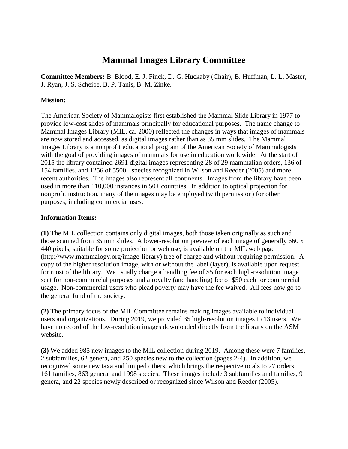# **Mammal Images Library Committee**

**Committee Members:** B. Blood, E. J. Finck, D. G. Huckaby (Chair), B. Huffman, L. L. Master, J. Ryan, J. S. Scheibe, B. P. Tanis, B. M. Zinke.

## **Mission:**

The American Society of Mammalogists first established the Mammal Slide Library in 1977 to provide low-cost slides of mammals principally for educational purposes. The name change to Mammal Images Library (MIL, ca. 2000) reflected the changes in ways that images of mammals are now stored and accessed, as digital images rather than as 35 mm slides. The Mammal Images Library is a nonprofit educational program of the American Society of Mammalogists with the goal of providing images of mammals for use in education worldwide. At the start of 2015 the library contained 2691 digital images representing 28 of 29 mammalian orders, 136 of 154 families, and 1256 of 5500+ species recognized in Wilson and Reeder (2005) and more recent authorities. The images also represent all continents. Images from the library have been used in more than 110,000 instances in 50+ countries. In addition to optical projection for nonprofit instruction, many of the images may be employed (with permission) for other purposes, including commercial uses.

## **Information Items:**

**(1)** The MIL collection contains only digital images, both those taken originally as such and those scanned from 35 mm slides. A lower-resolution preview of each image of generally 660 x 440 pixels, suitable for some projection or web use, is available on the MIL web page (http://www.mammalogy.org/image-library) free of charge and without requiring permission. A copy of the higher resolution image, with or without the label (layer), is available upon request for most of the library. We usually charge a handling fee of \$5 for each high-resolution image sent for non-commercial purposes and a royalty (and handling) fee of \$50 each for commercial usage. Non-commercial users who plead poverty may have the fee waived. All fees now go to the general fund of the society.

**(2)** The primary focus of the MIL Committee remains making images available to individual users and organizations. During 2019, we provided 35 high-resolution images to 13 users. We have no record of the low-resolution images downloaded directly from the library on the ASM website.

**(3)** We added 985 new images to the MIL collection during 2019. Among these were 7 families, 2 subfamilies, 62 genera, and 250 species new to the collection (pages 2-4). In addition, we recognized some new taxa and lumped others, which brings the respective totals to 27 orders, 161 families, 863 genera, and 1998 species. These images include 3 subfamilies and families, 9 genera, and 22 species newly described or recognized since Wilson and Reeder (2005).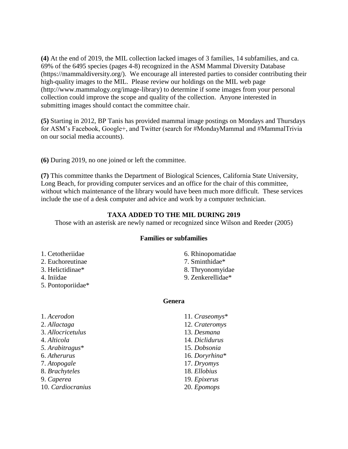**(4)** At the end of 2019, the MIL collection lacked images of 3 families, 14 subfamilies, and ca. 69% of the 6495 species (pages 4-8) recognized in the ASM Mammal Diversity Database (https://mammaldiversity.org/). We encourage all interested parties to consider contributing their high-quality images to the MIL. Please review our holdings on the MIL web page (http://www.mammalogy.org/image-library) to determine if some images from your personal collection could improve the scope and quality of the collection. Anyone interested in submitting images should contact the committee chair.

**(5)** Starting in 2012, BP Tanis has provided mammal image postings on Mondays and Thursdays for ASM's Facebook, Google+, and Twitter (search for #MondayMammal and #MammalTrivia on our social media accounts).

**(6)** During 2019, no one joined or left the committee.

**(7)** This committee thanks the Department of Biological Sciences, California State University, Long Beach, for providing computer services and an office for the chair of this committee, without which maintenance of the library would have been much more difficult. These services include the use of a desk computer and advice and work by a computer technician.

#### **TAXA ADDED TO THE MIL DURING 2019**

Those with an asterisk are newly named or recognized since Wilson and Reeder (2005)

#### **Families or subfamilies**

- 1. Cetotheriidae
- 2. Euchoreutinae
- 3. Helictidinae\*
- 4. Iniidae
- 5. Pontoporiidae\*
- 6. Rhinopomatidae
- 7. Sminthidae\*
- 8. Thryonomyidae
- 9. Zenkerellidae\*

#### **Genera**

1. *Acerodon* 2. *Allactaga* 3. *Allocricetulus* 4. *Alticola 5. Arabitragus*\* 6. *Atherurus* 7. *Atopogale* 8. *Brachyteles* 9. *Caperea* 10. *Cardiocranius* 11. *Craseomys*\* 12. *Crateromys* 13. *Desmana* 14. *Diclidurus* 15. *Dobsonia* 16. *Doryrhina*\* 17. *Dryomys* 18. *Ellobius* 19. *Epixerus* 20. *Epomops*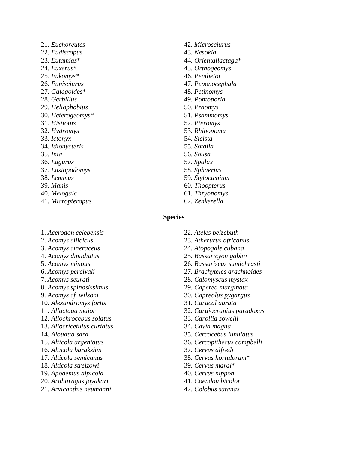21. *Euchoreutes* 22. *Eudiscopus* 23. *Eutamias*\* 24. *Euxerus*\* 25. *Fukomys*\* 26. *Funisciurus* 27. *Galagoides*\* 28. *Gerbillus* 29. *Heliophobius* 30. *Heterogeomys*\* 31. *Histiotus* 32. *Hydromys* 33. *Ictonyx* 34. *Idionycteris* 35. *Inia* 36. *Lagurus* 37. *Lasiopodomys* 38. *Lemmus* 39. *Manis* 40. *Melogale* 41. *Micropteropus*

- 42. *Microsciurus* 43. *Nesokia* 44. *Orientallactaga*\* 45. *Orthogeomys* 46. *Penthetor* 47. *Peponocephala* 48. *Petinomys* 49. *Pontoporia* 50. *Praomys* 51. *Psammomys* 52. *Pteromys* 53. *Rhinopoma* 54. *Sicista* 55. *Sotalia* 56. *Sousa* 57. *Spalax* 58. *Sphaerius* 59. *Styloctenium* 60. *Thoopterus* 61. *Thryonomys*
- 62. *Zenkerella*

#### **Species**

- 1. *Acerodon celebensis* 2. *Acomys cilicicus*
- 3. *Acomys cineraceus*
- 4. *Acomys dimidiatus*
- 5. *Acomys minous*
- 6. *Acomys percivali*
- 7. *Acomys seurati*
- 8. *Acomys spinosissimus*
- 9. *Acomys cf. wilsoni*
- 10. *Alexandromys fortis*
- 11. *Allactaga major*
- 12. *Allochrocebus solatus*
- 13. *Allocricetulus curtatus*
- 14. *Alouatta sara*
- 15. *Alticola argentatus*
- 16. *Alticola barakshin*
- 17. *Alticola semicanus*
- 18. *Alticola strelzowi*
- 19. *Apodemus alpicola*
- 20. *Arabitragus jayakari*
- 21. *Arvicanthis neumanni*
- 22. *Ateles belzebuth*
- 23. *Atherurus africanus*
- 24. *Atopogale cubana*
- 25. *Bassaricyon gabbii*
- 26. *Bassariscus sumichrasti*
- 27. *Brachyteles arachnoides*
- 28. *Calomyscus mystax*
- 29. *Caperea marginata*
- 30. *Capreolus pygargus*
- 31. *Caracal aurata*
- 32. *Cardiocranius paradoxus*
- 33. *Carollia sowelli*
- 34. *Cavia magna*
- 35. *Cercocebus lunulatus*
- 36. *Cercopithecus campbelli*
- 37. *Cervus alfredi*
- 38. *Cervus hortulorum*\*
- 39. *Cervus maral*\*
- 40. *Cervus nippon*
- 41. *Coendou bicolor*
- 42. *Colobus satanas*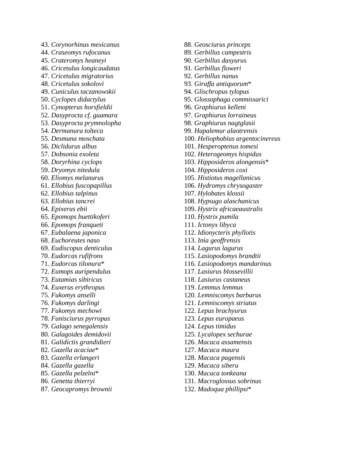43. *Corynorhinus mexicanus* 44. *Craseomys rufocanus* 45. *Crateromys heaneyi* 46. *Cricetulus longicaudatus* 47. *Cricetulus migratorius* 48. *Cricetulus sokolovi* 49. *Cuniculus taczanowskii* 50. *Cyclopes didactylus* 51. *Cynopterus horsfieldii* 52. *Dasyprocta cf. guamara* 53. *Dasyprocta prymnolopha* 54. *Dermanura tolteca* 55. *Desmana moschata* 56. *Diclidurus albus* 57. *Dobsonia exoleta* 58. *Doryrhina cyclops* 59. *Dryomys nitedula* 60. *Eliomys melanurus* 61. *Ellobius fuscopapillus* 62. *Ellobius talpinus* 63. *Ellobius tancrei* 64. *Epixerus ebii* 65. *Epomops buettikoferi* 66. *Epomops franqueti* 67. *Eubalaena japonica* 68. *Euchoreutes naso* 69. *Eudiscopus denticulus* 70. *Eudorcas rufifrons* 71. *Eudorcas tilonura* \* 72. *Eumops auripendulus* 73. *Eutamias sibiricus* 74. *Euxerus erythropus* 75. *Fukomys anselli* 76. *Fukomys darlingi* 77. *Fukomys mechowi* 78. *Funisciurus pyrropus* 79. *Galago senegalensis* 80. *Galagoides demidovii* 81. *Galidictis grandidieri* 82. *Gazella acaciae* \* 83. *Gazella erlangeri* 84. *Gazella gazella* 85. *Gazella pelzelni* \* 86. *Genetta thierryi* 87. *Geocapromys brownii*

- 88. *Geosciurus princeps*
- 89. *Gerbillus campestris*
- 90. *Gerbillus dasyurus*
- 91. *Gerbillus floweri*
- 92. *Gerbillus nanus*
- 93. *Giraffa antiquorum* \*
- 94. *Glischropus tylopus*
- 95. *Glossophaga commissarici*
- 96. *Graphiurus kelleni*
- 97. *Graphiurus lorraineus*
- 98. *Graphiurus nagtglasii*
- 99. *Hapalemur alaotrensis*
- 100. *Heliophobius argentocinereus*
- 101. *Hesperoptenus tomesi*
- 102. *Heterogeomys hispidus*
- 103. *Hipposideros alongensis* \*
- 104. *Hipposideros coxi*
- 105. *Histiotus magellanicus*
- 106. *Hydromys chrysogaster*
- 107. *Hylobates klossii*
- 108. *Hypsugo alaschanicus*
- 109. *Hystrix africaeaustralis*
- 110. *Hystrix pumila*
- 111. *Ictonyx libyca*
- 112. *Idionycteris phyllotis*
- 113. *Inia geoffrensis*
- 114. *Lagurus lagurus*
- 115. *Lasiopodomys brandtii*
- 116. *Lasiopodomys mandarinus*
- 117. *Lasiurus blossevillii*
- 118. *Lasiurus castaneus*
- 119. *Lemmus lemmus*
- 120. *Lemniscomys barbarus*
- 121. *Lemniscomys striatus*
- 122. *Lepus brachyurus*
- 123. *Lepus europaeus*
- 124. *Lepus timidus*
- 125. *Lycalopex sechurae*
- 126. *Macaca assamensis*
- 127. *Macaca maura*
- 128. *Macaca pagensis*
- 129. *Macaca siberu*
- 130. *Macaca tonkeana*
- 131. *Macroglossus sobrinus*
- 132. *Madoqua phillipsi* \*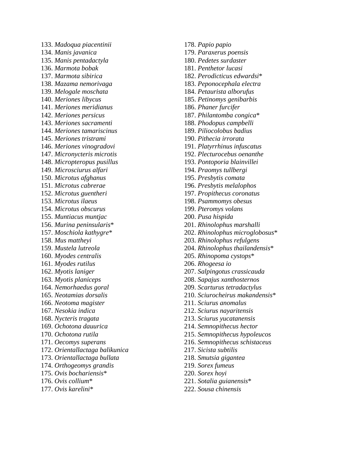133. *Madoqua piacentinii* 134. *Manis javanica* 135. *Manis pentadactyla* 136. *Marmota bobak* 137. *Marmota sibirica* 138. *Mazama nemorivaga* 139. *Melogale moschata* 140. *Meriones libycus* 141. *Meriones meridianus* 142. *Meriones persicus* 143. *Meriones sacramenti* 144. *Meriones tamariscinus* 145. *Meriones tristrami* 146. *Meriones vinogradovi* 147. *Micronycteris microtis* 148. *Micropteropus pusillus* 149. *Microsciurus alfari* 150. *Microtus afghanus* 151. *Microtus cabrerae* 152. *Microtus guentheri* 153. *Microtus ilaeus* 154. *Microtus obscurus* 155. *Muntiacus muntjac* 156. *Murina peninsularis* \* 157. *Moschiola kathygre* \* 158. *Mus mattheyi* 159. *Mustela lutreola* 160. *Myodes centralis* 161. *Myodes rutilus* 162. *Myotis laniger* 163. *Myotis planiceps* 164. *Nemorhaedus goral* 165. *Neotamias dorsalis* 166. *Neotoma magister* 167. *Nesokia indica* 168. *Nycteris tragata* 169. *Ochotona dauurica* 170. *Ochotona rutila* 171. *Oecomys superans* 172. *Orientallactaga balikunica* 173. *Orientallactaga bullata* 174. *Orthogeomys grandis* 175. *Ovis bochariensis* \* 176. *Ovis collium* \*

177. *Ovis karelini* \*

- 178. *Papio papio*
- 179. *Paraxerus poensis*
- 180. *Pedetes surdaster*
- 181. *Penthetor lucasi*
- 182. *Perodicticus edwardsi* \*
- 183. *Peponocephala electra*
- 184. *Petaurista alborufus*
- 185. *Petinomys genibarbis*
- 186. *Phaner furcifer*
- 187. *Philantomba congica* \*
- 188. *Phodopus campbelli*
- 189. *Piliocolobus badius*
- 190. *Pithecia irrorata*
- 191. *Platyrrhinus infuscatus*
- 192. *Plecturocebus oenanthe*
- 193. *Pontoporia blainvillei*
- 194. *Praomys tullbergi*
- 195. *Presbytis comata*
- 196. *Presbytis melalophos*
- 197. *Propithecus coronatus*
- 198. *Psammomys obesus*
- 199. *Pteromys volans*
- 200. *Pusa hispida*
- 201. *Rhinolophus marshalli*
- 202. *Rhinolophus microglobosus* \*
- 203. *Rhinolophus refulgens*
- 204. *Rhinolophus thailandensis* \*
- 205. *Rhinopoma cystops* \*
- 206. *Rhogeesa io*
- 207. *Salpingotus crassicauda*
- 208. *Sapajus xanthosternos*
- 209. *Scarturus tetradactylus*
- 210. *Sciurocheirus makandensis* \*
- 211. *Sciurus anomalus*
- 212. *Sciurus nayaritensis*
- 213. *Sciurus yucatanensis*
- 214. *Semnopithecus hector*
- 215. *Semnopithecus hypoleucos*
- 216. *Semnopithecus schistaceus*
- 217. *Sicista subtilis*
- 218. *Smutsia gigantea*
- 219. *Sorex fumeus*
- 220. *Sorex hoyi*
- 221. *Sotalia guianensis* \*
- 222. *Sousa chinensis*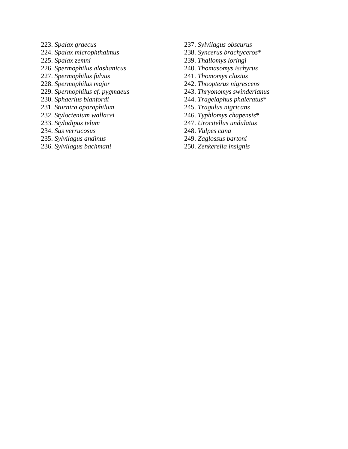- 223. *Spalax graecus*
- 224. *Spalax microphthalmus*
- 225. *Spalax zemni*
- 226. *Spermophilus alashanicus*
- 227. *Spermophilus fulvus*
- 228. *Spermophilus major*
- 229. *Spermophilus cf. pygmaeus*
- 230. *Sphaerius blanfordi*
- 231. *Sturnira oporaphilum*
- 232. *Styloctenium wallacei*
- 233. *Stylodipus telum*
- 234. *Sus verrucosus*
- 235. *Sylvilagus andinus*
- 236. *Sylvilagus bachmani*
- 237. *Sylvilagus obscurus*
- 238. *Syncerus brachyceros* \*
- 239. *Thallomys loringi*
- 240. *Thomasomys ischyrus*
- 241. *Thomomys clusius*
- 242. *Thoopterus nigrescens*
- 243. *Thryonomys swinderianus*
- 244. *Tragelaphus phaleratus* \*
- 245. *Tragulus nigricans*
- 246. *Typhlomys chapensis* \*
- 247. *Urocitellus undulatus*
- 248. *Vulpes cana*
- 249. *Zaglossus bartoni*
- 250. *Zenkerella insignis*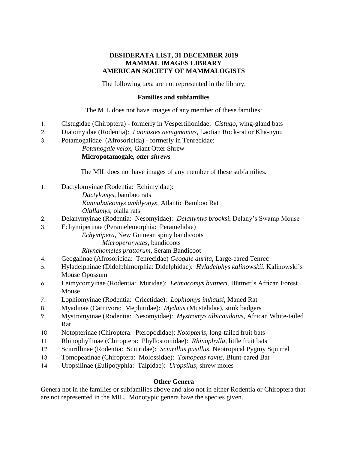# **DESIDERATA LIST, 31 DECEMBER 2019 MAMMAL IMAGES LIBRARY AMERICAN SOCIETY OF MAMMALOGISTS**

The following taxa are not represented in the library.

#### **Families and subfamilies**

The MIL does not have images of any member of these families:

- 1. Cistugidae (Chiroptera) formerly in Vespertilionidae: *Cistugo*, wing-gland bats
- 2. Diatomyidae (Rodentia): *Laonastes aenigmamus,* Laotian Rock-rat or Kha-nyou
- 3. Potamogalidae (Afrosoricida) formerly in Tenrecidae:

*Potamogale velox*, Giant Otter Shrew **Micropotamogale***, otter shrews*

The MIL does not have images of any member of these subfamilies.

- 1. Dactylomyinae (Rodentia: Echimyidae): *Dactylomys*, bamboo rats *Kannabateomys amblyonyx*, Atlantic Bamboo Rat *Olallamys*, olalla rats
- 2. Delanymyinae (Rodentia: Nesomyidae): *Delanymys brooksi*, Delany's Swamp Mouse
- 3. Echymiperinae (Peramelemorphia: Peramelidae) *Echymipera*, New Guinean spiny bandicoots *Microperoryctes*, bandicoots *Rhynchomeles prattorum*, Seram Bandicoot
- 4. Geogalinae (Afrosoricida: Tenrecidae) *Geogale aurita*, Large-eared Tenrec
- 5. Hyladelphinae (Didelphimorphia: Didelphidae): *Hyladelphys kalinowskii*, Kalinowski's Mouse Opossum
- 6. Leimycomyinae (Rodentia: Muridae): *Leimacomys buttneri*, Büttner's African Forest Mouse
- 7. Lophiomyinae (Rodentia: Cricetidae): *Lophiomys imhausi*, Maned Rat
- 8. Myadinae (Carnivora: Mephitidae): *Mydaus* (Mustelidae), stink badgers
- 9. Mystromyinae (Rodentia: Nesomyidae): *Mystromys albicaudatus*, African White-tailed Rat
- 10. Notopterinae (Chiroptera: Pteropodidae): *Notopteris*, long-tailed fruit bats
- 11. Rhinophyllinae (Chiroptera: Phyllostomidae): *Rhinophylla*, little fruit bats
- 12. Sciurillinae (Rodentia: Sciuridae): *Sciurillus pusillus*, Neotropical Pygmy Squirrel
- 13. Tomopeatinae (Chiroptera: Molossidae): *Tomopeas ravus*, Blunt-eared Bat
- 14. Uropsilinae (Eulipotyphla: Talpidae): *Uropsilus*, shrew moles

#### **Other Genera**

Genera not in the families or subfamilies above and also not in either Rodentia or Chiroptera that are not represented in the MIL. Monotypic genera have the species given.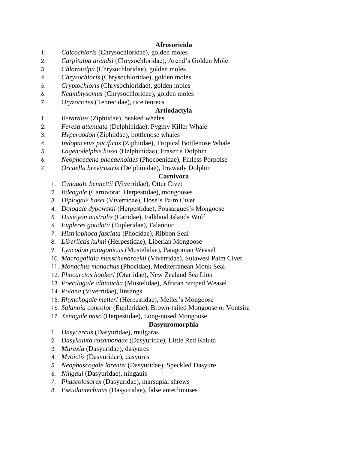## **Afrosoricida**

- 1. *Calcochloris* (Chrysochloridae), golden moles
- 2. *Carpitalpa arendsi* (Chrysochloridae), Arend's Golden Mole
- 3. *Chlorotalpa* (Chrysochloridae), golden moles
- 4. *Chrysochloris* (Chrysochloridae), golden moles
- 5. *Cryptochloris* (Chrysochloridae), golden moles
- 6. *Neamblysomus* (Chrysochloridae), golden moles
- 7. *Oryzorictes* (Tenrecidae), rice tenrecs

# **Artiodactyla**

- 1. *Berardius* (Ziphiidae), beaked whales
- 2. *Feresa attenuata* (Delphinidae), Pygmy Killer Whale
- 3. *Hyperoodon* (Ziphiidae), bottlenose whales
- 4. *Indopacetus pacificus* (Ziphiidae), Tropical Bottlenose Whale
- 5. *Lagenodelphis hosei* (Delphinidae), Fraser's Dolphin
- 6. *Neophocaena phocaenoides* (Phocoenidae), Finless Porpoise
- 7. *Orcaella brevirostris* (Delphinidae), Irrawady Dolphin

# **Carnivora**

- 1. *Cynogale bennettii* (Viverridae), Otter Civet
- 2. *Bdeogale* (Carnivora: Herpestidae), mongooses
- 3. *Diplogale hosei* (Viverridae), Hose's Palm Civet
- 4. *Dologale dybowskii* (Herpestidae), Pousargues's Mongoose
- 5. *Dusicyon australis* (Canidae), Falkland Islands Wolf
- 6. *Eupleres goudotii* (Eupleridae), Falanouc
- 7. *Histriophoca fasciata* (Phocidae), Ribbon Seal
- 8. *Liberiictis kuhni* (Herpestidae), Liberian Mongoose
- 9. *Lyncodon patagonicus* (Mustelidae), Patagonian Weasel
- 10. *Macrogalidia musschenbroekii* (Viverridae), Sulawesi Palm Civet
- 11. *Monachus monachus* (Phocidae), Mediterranean Monk Seal
- 12. *Phocarctos hookeri* (Otariidae), New Zealand Sea Lion
- 13. *Poecilogale albinucha* (Mustelidae), African Striped Weasel
- 14. *Poiana* (Viverridae), linsangs
- 15. *Rhynchogale melleri* (Herpestidae), Meller's Mongoose
- 16. *Salanoia concolor* (Eupleridae), Brown-tailed Mongoose or Vontsira
- 17. *Xenogale naso* (Herpestidae), Long-nosed Mongoose

# **Dasyuromorphia**

- 1. *Dasycercus* (Dasyuridae), mulgaras
- 2. *Dasykaluta rosamondae* (Dasyuridae), Little Red Kaluta
- 3. *Murexia* (Dasyuridae), dasyures
- 4. *Myoictis* (Dasyuridae), dasyures
- 5. *Neophascogale lorentzi* (Dasyuridae), Speckled Dasyure
- 6. *Ningaui* (Dasyuridae), ningauis
- 7. *Phascolosorex* (Dasyuridae), marsupial shrews
- 8. *Pseudantechinus* (Dasyuridae), false antechinuses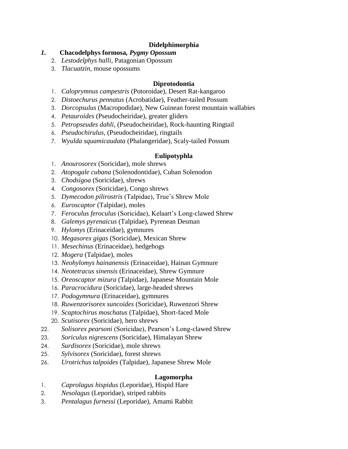# **Didelphimorphia**

- *1.* **Chacodelphys formosa***, Pygmy Opossum*
	- 2. *Lestodelphys halli*, Patagonian Opossum
	- 3. *Tlacuatzin*, mouse opossums

#### **Diprotodontia**

- 1. *Caloprymnus campestris* (Potoroidae), Desert Rat-kangaroo
- 2. *Distoechurus pennatus* (Acrobatidae), Feather-tailed Possum
- 3. *Dorcopsulus* (Macropodidae), New Guinean forest mountain wallabies
- 4. *Petauroides* (Pseudocheiridae), greater gliders
- 5. *Petropseudes dahli*, (Pseudocheiridae), Rock-haunting Ringtail
- 6. *Pseudochirulus*, (Pseudocheiridae), ringtails
- 7. *Wyulda squamicaudata* (Phalangeridae), Scaly-tailed Possum

#### **Eulipotyphla**

- 1. *Anourosorex* (Soricidae), mole shrews
- 2. *Atopogale cubana* (Solenodontidae), Cuban Solenodon
- 3. *Chodsigoa* (Soricidae), shrews
- 4. *Congosorex* (Soricidae), Congo shrews
- 5. *Dymecodon pilirostris* (Talpidae), True's Shrew Mole
- 6. *Euroscaptor* (Talpidae), moles
- 7. *Feroculus feroculus* (Soricidae), Kelaart's Long-clawed Shrew
- 8. *Galemys pyrenaicus* (Talpidae), Pyrenean Desman
- 9. *Hylomys* (Erinaceidae), gymnures
- 10. *Megasorex gigas* (Soricidae), Mexican Shrew
- 11. *Mesechinus* (Erinaceidae), hedgehogs
- 12. *Mogera* (Talpidae), moles
- 13. *Neohylomys hainanensis* (Erinaceidae), Hainan Gymnure
- 14. *Neotetracus sinensis* (Erinaceidae), Shrew Gymnure
- 15. *Oreoscaptor mizura* (Talpidae), Japanese Mountain Mole
- 16. *Paracrocidura* (Soricidae), large-headed shrews
- 17. *Podogymnura* (Erinaceidae), gymnures
- 18. *Ruwenzorisorex suncoides* (Soricidae), Ruwenzori Shrew
- 19. *Scaptochirus moschatus* (Talpidae), Short-faced Mole
- 20. *Scutisorex* (Soricidae), hero shrews
- 22. *Solisorex pearsoni* (Soricidae), Pearson's Long-clawed Shrew
- 23. *Soriculus nigrescens* (Soricidae), Himalayan Shrew
- 24. *Surdisorex* (Soricidae), mole shrews
- 25. *Sylvisorex* (Soricidae), forest shrews
- 26. *Urotrichus talpoides* (Talpidae), Japanese Shrew Mole

## **Lagomorpha**

- 1. *Caprolagus hispidus* (Leporidae), Hispid Hare
- 2. *Nesolagus* (Leporidae), striped rabbits
- 3. *Pentalagus furnessi* (Leporidae), Amami Rabbit